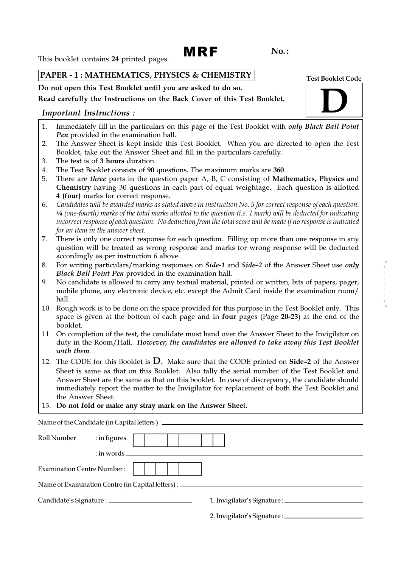# MRF

No. :

This booklet contains 24 printed pages.

## PAPER - 1 : MATHEMATICS, PHYSICS & CHEMISTRY

Do not open this Test Booklet until you are asked to do so.

## Read carefully the Instructions on the Back Cover of this Test Booklet.

## Important Instructions :

- 1. Immediately fill in the particulars on this page of the Test Booklet with *only Black Ball Point* Pen provided in the examination hall.
- 2. The Answer Sheet is kept inside this Test Booklet. When you are directed to open the Test Booklet, take out the Answer Sheet and fill in the particulars carefully.
- 3. The test is of 3 hours duration.
- 4. The Test Booklet consists of 90 questions. The maximum marks are 360.
- 5. There are three parts in the question paper A, B, C consisting of Mathematics, Physics and Chemistry having 30 questions in each part of equal weightage. Each question is allotted 4 (four) marks for correct response.
- 6. Candidates will be awarded marks as stated above in instruction No. 5 for correct response of each question. ¼ (one-fourth) marks of the total marks allotted to the question (i.e. 1 mark) will be deducted for indicating incorrect response of each question. No deduction from the total score will be made if no response is indicated for an item in the answer sheet.
- 7. There is only one correct response for each question. Filling up more than one response in any question will be treated as wrong response and marks for wrong response will be deducted accordingly as per instruction 6 above.
- 8. For writing particulars/marking responses on Side-1 and Side-2 of the Answer Sheet use only Black Ball Point Pen provided in the examination hall.
- 9. No candidate is allowed to carry any textual material, printed or written, bits of papers, pager, mobile phone, any electronic device, etc. except the Admit Card inside the examination room/ hall.
- 10. Rough work is to be done on the space provided for this purpose in the Test Booklet only. This space is given at the bottom of each page and in four pages (Page 20-23) at the end of the booklet.
- 11. On completion of the test, the candidate must hand over the Answer Sheet to the Invigilator on duty in the Room/Hall. However, the candidates are allowed to take away this Test Booklet with them.
- 12. The CODE for this Booklet is  $D$ . Make sure that the CODE printed on Side-2 of the Answer Sheet is same as that on this Booklet. Also tally the serial number of the Test Booklet and Answer Sheet are the same as that on this booklet. In case of discrepancy, the candidate should immediately report the matter to the Invigilator for replacement of both the Test Booklet and the Answer Sheet.
- 13. Do not fold or make any stray mark on the Answer Sheet.

| Roll Number                       | $:$ in figures |  |  |  |                                                                                   |
|-----------------------------------|----------------|--|--|--|-----------------------------------------------------------------------------------|
|                                   |                |  |  |  | $:$ in words $\overline{\phantom{a}}$                                             |
| <b>Examination Centre Number:</b> |                |  |  |  |                                                                                   |
|                                   |                |  |  |  | Name of Examination Centre (in Capital letters) : _______________________________ |
|                                   |                |  |  |  |                                                                                   |
|                                   |                |  |  |  |                                                                                   |

Test Booklet Code

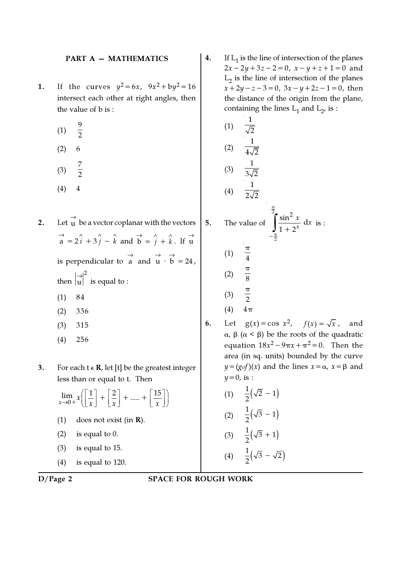#### PART A — MATHEMATICS

- **1.** If the curves  $y^2 = 6x$ ,  $9x^2 + by^2 = 16$ intersect each other at right angles, then the value of b is :
	- (1) 9  $\frac{1}{2}$
	- $(2) 6$
	- (3) 7 2
	- $(4)$  4
- 2. Let  $\overrightarrow{u}$  be a vector coplanar with the vectors  $\vec{a} = 2\hat{i} + 3\hat{j} - \hat{k}$  and  $\vec{b} = \hat{j} + \hat{k}$ . If  $\vec{u}$ is perpendicular to  $\overrightarrow{a}$  and  $\overrightarrow{u} \cdot \overrightarrow{b} = 24$ , then 2 u → is equal to : (1) 84 (2) 336
	- (3) 315
	- (4) 256

3. For each  $t \in R$ , let [t] be the greatest integer less than or equal to t. Then

$$
\lim_{x \to 0+} x \left[ \frac{1}{x} \right] + \left[ \frac{2}{x} \right] + \dots + \left[ \frac{15}{x} \right]
$$
  
(1) does not exist (in **R**).  
(2) is equal to 0.  
(3) is equal to 15.

(4) is equal to 120.

**4.** If  $L_1$  is the line of intersection of the planes  $2x-2y+3z-2=0$ ,  $x-y+z+1=0$  and  $L_2$  is the line of intersection of the planes  $x+2y-z-3=0$ ,  $3x-y+2z-1=0$ , then the distance of the origin from the plane, containing the lines  $L_1$  and  $L_2$ , is :

(1) 
$$
\frac{1}{\sqrt{2}}
$$
  
\n(2)  $\frac{1}{4\sqrt{2}}$   
\n(3)  $\frac{1}{3\sqrt{2}}$   
\n(4)  $\frac{1}{2\sqrt{2}}$   
\n5. The value of  $\int_{-\frac{\pi}{2}}^{\frac{\pi}{2}} \frac{\sin^2 x}{1 + 2^x} dx$  is :  
\n(1)  $\frac{\pi}{4}$ 

 $(1)$ 

1

π

(2) 
$$
\frac{\pi}{8}
$$
  
\n(3)  $\frac{\pi}{2}$   
\n(4)  $4\pi$   
\n6. Let  $g(x) = \cos x^2$ ,  $f(x) = \sqrt{x}$ , and  
\n $\alpha, \beta$  ( $\alpha < \beta$ ) be the roots of the quadratic  
\nequation  $18x^2 - 9\pi x + \pi^2 = 0$ . Then the  
\narea (in sq. units) bounded by the curve  
\n $y = (g \circ f)(x)$  and the lines  $x = \alpha$ ,  $x = \beta$  and  
\n $y = 0$ , is :

(1) 
$$
\frac{1}{2}(\sqrt{2} - 1)
$$
  
\n(2)  $\frac{1}{2}(\sqrt{3} - 1)$   
\n(3)  $\frac{1}{2}(\sqrt{3} + 1)$   
\n(4)  $\frac{1}{2}(\sqrt{3} + 1)$ 

$$
(4) \quad \frac{1}{2}(\sqrt{3}-\sqrt{2})
$$

D/Page 2 SPACE FOR ROUGH WORK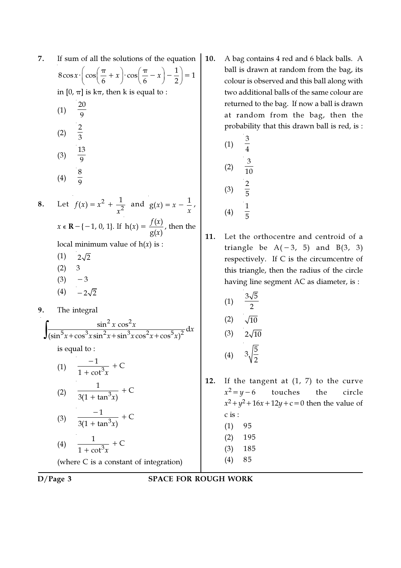| 7. | If sum of all the solutions of the equation<br>10                                                                |    |  |  |  |  |
|----|------------------------------------------------------------------------------------------------------------------|----|--|--|--|--|
|    | $8\cos x \cdot \left(\cos\left(\frac{\pi}{6}+x\right)\cdot\cos\left(\frac{\pi}{6}-x\right)-\frac{1}{2}\right)=1$ |    |  |  |  |  |
|    | in $[0, \pi]$ is $k\pi$ , then k is equal to :                                                                   |    |  |  |  |  |
|    | $\frac{20}{9}$<br>(1)                                                                                            |    |  |  |  |  |
|    | (2) $\frac{2}{3}$                                                                                                |    |  |  |  |  |
|    | (3) $\frac{13}{9}$                                                                                               |    |  |  |  |  |
|    | (4) $\frac{8}{6}$                                                                                                |    |  |  |  |  |
| 8. | Let $f(x) = x^2 + \frac{1}{x^2}$ and $g(x) = x - \frac{1}{x}$ ,                                                  |    |  |  |  |  |
|    | $x \in \mathbf{R} - \{-1, 0, 1\}$ . If $h(x) = \frac{f(x)}{g(x)}$ , then the                                     | 11 |  |  |  |  |
|    | local minimum value of $h(x)$ is :                                                                               |    |  |  |  |  |
|    | (1)<br>$2\sqrt{2}$                                                                                               |    |  |  |  |  |
|    | (2) 3                                                                                                            |    |  |  |  |  |
|    | $(3) -3$                                                                                                         |    |  |  |  |  |
|    | $(4) -2\sqrt{2}$                                                                                                 |    |  |  |  |  |
| 9. | The integral                                                                                                     |    |  |  |  |  |
|    | $\frac{\sin^2 x \cos^2 x}{5x + \cos^3 x \sin^2 x + \sin^3 x \cos^2 x + \cos^5 x^2} dx$                           |    |  |  |  |  |
|    |                                                                                                                  |    |  |  |  |  |
|    | is equal to :                                                                                                    |    |  |  |  |  |
|    | $\frac{-1}{1 + \cot^3 x} + C$<br>(1)                                                                             |    |  |  |  |  |
|    | (2) $\frac{1}{3(1 + \tan^3 x)} + C$                                                                              | 12 |  |  |  |  |
|    | $\frac{-1}{3(1 + \tan^3 x)} + C$<br>(3)                                                                          |    |  |  |  |  |
|    | $\frac{1}{1+\cot^3x}+C$<br>(4)                                                                                   |    |  |  |  |  |
|    | (where C is a constant of integration)                                                                           |    |  |  |  |  |
|    |                                                                                                                  |    |  |  |  |  |

A bag contains 4 red and 6 black balls. A ball is drawn at random from the bag, its colour is observed and this ball along with two additional balls of the same colour are returned to the bag. If now a ball is drawn at random from the bag, then the probability that this drawn ball is red, is :

(1) 
$$
\frac{3}{4}
$$
  
(2)  $\frac{3}{10}$   
(3)  $\frac{2}{5}$   
(4)  $\frac{1}{5}$ 

. Let the orthocentre and centroid of a triangle be  $A(-3, 5)$  and  $B(3, 3)$ respectively. If C is the circumcentre of this triangle, then the radius of the circle having line segment AC as diameter, is :

(1) 
$$
\frac{3\sqrt{5}}{2}
$$
  
\n(2)  $\sqrt{10}$   
\n(3)  $2\sqrt{10}$   
\n(4)  $3\sqrt{\frac{5}{2}}$ 

- 1. If the tangent at  $(1, 7)$  to the curve  $x^2 = y - 6$ touches the circle  $x^2 + y^2 + 16x + 12y + c = 0$  then the value of c is : (1) 95
	- (2) 195
	- (3) 185
	- (4) 85
	-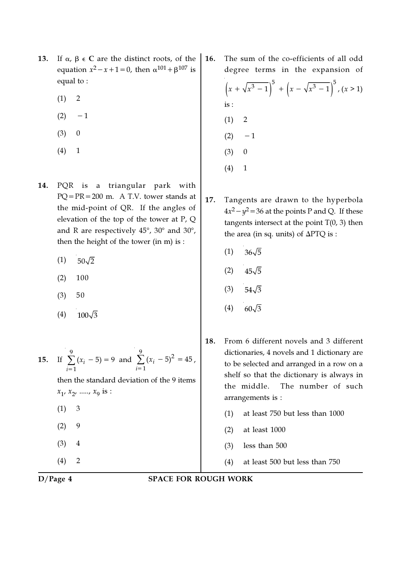- 13. If  $\alpha$ ,  $\beta \in C$  are the distinct roots, of the equation  $x^2 - x + 1 = 0$ , then  $\alpha^{101} + \beta^{107}$  is equal to :
	- $(1) 2$
	- $(2) -1$
	- $(3) 0$
	- (4) 1
- 14. PQR is a triangular park with PQ=PR=200 m. A T.V. tower stands at the mid-point of QR. If the angles of elevation of the top of the tower at P, Q and R are respectively  $45^{\circ}$ ,  $30^{\circ}$  and  $30^{\circ}$ , then the height of the tower (in m) is :
	- $(1)$  50 $\sqrt{2}$
	- $(2)$  100
	- (3) 50
	- (4)  $100\sqrt{3}$

15. If 
$$
\sum_{i=1}^{9} (x_i - 5) = 9
$$
 and  $\sum_{i=1}^{9} (x_i - 5)^2 = 45$ ,  
then the standard deviation of the 9 items  
 $x_1, x_2, \dots, x_9$  is :  
(1) 3  
(2) 9  
(3) 4  
(4) 2

16. The sum of the co-efficients of all odd degree terms in the expansion of

$$
\left(x + \sqrt{x^3 - 1}\right)^5 + \left(x - \sqrt{x^3 - 1}\right)^5, (x > 1)
$$
  
is:  
(1) 2  
(2) -1  
(3) 0  
(4) 1

- 17. Tangents are drawn to the hyperbola  $4x^2 - y^2 = 36$  at the points P and Q. If these tangents intersect at the point  $T(0, 3)$  then the area (in sq. units) of ∆PTQ is :
	- $(1)$  36 $\sqrt{5}$
	- $(2)$  45 $\sqrt{5}$
	- $(3)$  54 $\sqrt{3}$
	- (4)  $60\sqrt{3}$
- 18. From 6 different novels and 3 different dictionaries, 4 novels and 1 dictionary are to be selected and arranged in a row on a shelf so that the dictionary is always in the middle. The number of such arrangements is :
	- (1) at least 750 but less than 1000
	- (2) at least 1000
	- (3) less than 500
	- (4) at least 500 but less than 750
- D/Page 4 SPACE FOR ROUGH WORK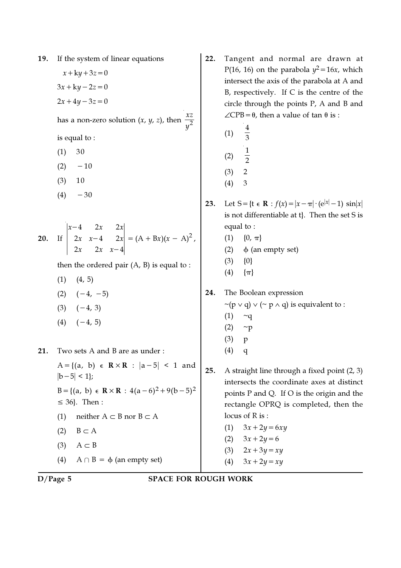19. If the system of linear equations

 $x + ky + 3z = 0$  $3x + ky - 2z = 0$  $2x+4y-3z=0$ 

has a non-zero solution  $(x, y, z)$ , then  $\frac{xz}{2}$ y

is equal to :

- $(1) 30$
- $(2) -10$
- (3) 10
- $(4) -30$

20. If 
$$
\begin{vmatrix} x-4 & 2x & 2x \\ 2x & x-4 & 2x \\ 2x & 2x & x-4 \end{vmatrix} = (A + Bx)(x - A)^2
$$
,

then the ordered pair  $(A, B)$  is equal to :

- $(1)$   $(4, 5)$
- $(2)$   $(-4, -5)$
- $(3)$   $(-4, 3)$
- $(4)$   $(-4, 5)$

21. Two sets A and B are as under :

 $A = \{(a, b) \in \mathbb{R} \times \mathbb{R} : |a-5| \leq 1 \text{ and}$  $|b-5| < 1$ : B = {(a, b)  $\epsilon$  **R** × **R** : 4(a - 6)<sup>2</sup> + 9(b - 5)<sup>2</sup>  $\leq$  36}. Then :

- (1) neither  $A \subset B$  nor  $B \subset A$
- (2)  $B \subset A$
- $(3)$  A  $\subset$  B
- (4)  $A \cap B = \phi$  (an empty set)
- 22. Tangent and normal are drawn at P(16, 16) on the parabola  $y^2 = 16x$ , which intersect the axis of the parabola at A and B, respectively. If C is the centre of the circle through the points P, A and B and  $\angle$ CPB= $\theta$ , then a value of tan  $\theta$  is :
	- (1) 4  $\overline{3}$ (2) 1
	- $\overline{2}$
	- $(3) 2$
	- (4) 3

23. Let S= $\{t \in \mathbf{R} : f(x) = |x - \pi| \cdot (e^{|x|} - 1) \sin|x| \}$ is not differentiable at t}. Then the set S is equal to :

- $(1)$  {0, π}
- (2)  $\phi$  (an empty set)
- $(3)$   $\{0\}$
- $(4) \quad {\pi}$

24. The Boolean expression

- $\sim$ (p  $\vee$  q)  $\vee$  ( $\sim$  p  $\wedge$  q) is equivalent to :
- $(1)$  ~q
- $(2)$  ~p
- (3) p
- (4) q
- 25. A straight line through a fixed point (2, 3) intersects the coordinate axes at distinct points P and Q. If O is the origin and the rectangle OPRQ is completed, then the locus of R is :
	- (1)  $3x + 2y = 6xy$
	- (2)  $3x+2y=6$
	- (3)  $2x+3y=xy$
	- (4)  $3x + 2y = xy$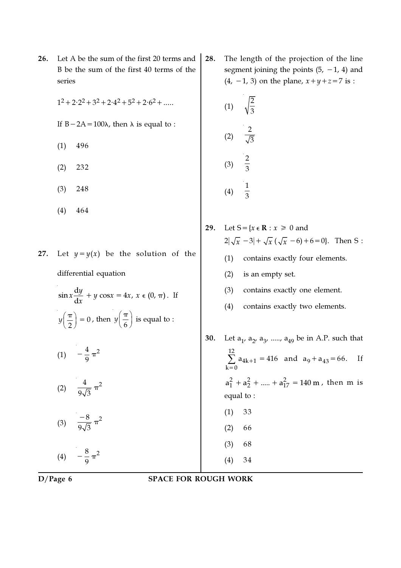series  
\nseries  
\n1<sup>2</sup>+2<sup>2</sup>2+3<sup>2</sup>+2<sup>4</sup>+5<sup>2</sup>+2<sup>6</sup>+......  
\nIf B-2A=100
$$
(1) 496
$$
\n(2) 232\n(3) 248\n(4) 
$$
\frac{2}{3}
$$
\n(5) 248\n(6) 248\n(7) 248\n(8) 248\n(9) 248\n(1) 464\n(2) 254\n(3) 248\n(4) 29. Let S = {x ∈ R : x ≥ 0 and  
\n2J
$$
\sqrt{x} - 3| + \sqrt{x} (\sqrt{x} - 6) + 6 = 0
$$
 Then S:  
\ndifferential equation  
\n
$$
\sin x \frac{dy}{dx} + y \cos x = 4x, x ∈ (0, π). If\n
$$
y(\frac{\pi}{2}) = 0, \text{ then } y(\frac{\pi}{6}) \text{ is equal to :}
$$
\n(1) contains exactly four elements.  
\n
$$
y(\frac{\pi}{2}) = 0, \text{ then } y(\frac{\pi}{6}) \text{ is equal to :}
$$
\n(2) is an empty set.  
\n(3) 248\n(4) contains exactly two elements.  
\n(5) 30. Let a<sub>1</sub>, a<sub>2</sub>, a<sub>3</sub>, ...., a<sub>49</sub> be in A.P. such that  
\n(1)  $-\frac{4}{9}\pi^2$ \n(2)  $\frac{4}{9\sqrt{3}}\pi^2$ \n(3)  $\frac{-8}{9\sqrt{3}}\pi^2$ \n(4)  $-\frac{8}{9}\pi^2$ \n(5) 36\n(6)  $-\frac{8}{9}\pi^2$ \n(7) 34\n(8) 34
$$

The length of the projection of the line segment joining the points  $(5, -1, 4)$  and

m is

26. Let A be the sum of the first 20 terms and  $\vert$  28. B be the sum of the first 40 terms of the

D/Page 6 SPACE FOR ROUGH WORK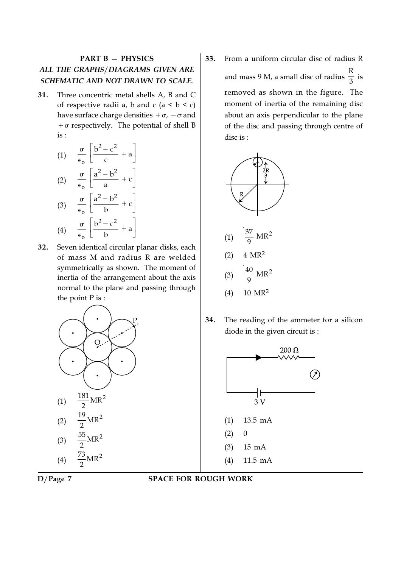## PART B — PHYSICS ALL THE GRAPHS/DIAGRAMS GIVEN ARE SCHEMATIC AND NOT DRAWN TO SCALE.

31. Three concentric metal shells A, B and C of respective radii a, b and c  $(a < b < c)$ have surface charge densities  $+\sigma$ ,  $-\sigma$  and  $+\sigma$  respectively. The potential of shell B is :

(1) 
$$
\frac{\sigma}{\epsilon_0} \left[ \frac{b^2 - c^2}{c} + a \right]
$$
  
\n(2)  $\frac{\sigma}{\epsilon_0} \left[ \frac{a^2 - b^2}{a} + c \right]$   
\n(3)  $\frac{\sigma}{\epsilon_0} \left[ \frac{a^2 - b^2}{b} + c \right]$   
\n(4)  $\frac{\sigma}{\epsilon_0} \left[ \frac{b^2 - c^2}{b} + a \right]$ 

32. Seven identical circular planar disks, each of mass M and radius R are welded symmetrically as shown. The moment of inertia of the arrangement about the axis normal to the plane and passing through the point P is :



33. From a uniform circular disc of radius R and mass 9 M, a small disc of radius R  $\frac{1}{3}$  is removed as shown in the figure. The moment of inertia of the remaining disc about an axis perpendicular to the plane of the disc and passing through centre of disc is :



- (4) 10 MR<sup>2</sup>
- 34. The reading of the ammeter for a silicon diode in the given circuit is :





D/Page 7 SPACE FOR ROUGH WORK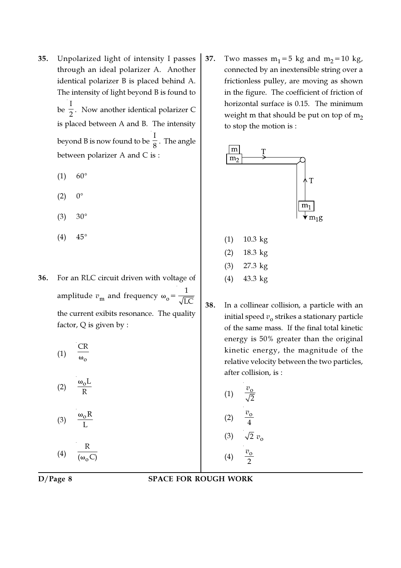- 35. Unpolarized light of intensity I passes through an ideal polarizer A. Another identical polarizer B is placed behind A. The intensity of light beyond B is found to be I  $\frac{1}{2}$ . Now another identical polarizer C is placed between A and B. The intensity beyond B is now found to be I  $_{8}^{-}$  . The angle between polarizer A and C is :
	- $(1) 60^{\circ}$
	- $(2) 0^{\circ}$
	- $(3) 30^{\circ}$
	- $(4)$  45°
- 36. For an RLC circuit driven with voltage of amplitude  $v_{\rm m}$  and frequency  $\omega_{\rm o}$ = 1 LC the current exibits resonance. The quality factor, Q is given by :
	- $(1)$ CR (2)  $\omega_0$ L R (3)  $\omega_0$  R L  $(4)$ R  $(\omega_{\rm o} C)$

37. Two masses  $m_1=5$  kg and  $m_2=10$  kg, connected by an inextensible string over a frictionless pulley, are moving as shown in the figure. The coefficient of friction of horizontal surface is 0.15. The minimum weight m that should be put on top of  $m_2$ to stop the motion is :



| (1)               | 10.3 kg |
|-------------------|---------|
| (2)               | 18.3 kg |
| (3)               | 27.3 kg |
| $\left( 4\right)$ | 43.3 kg |

38. In a collinear collision, a particle with an initial speed  $v_{_{\mathbf{0}}}$  strikes a stationary particle of the same mass. If the final total kinetic energy is 50% greater than the original kinetic energy, the magnitude of the relative velocity between the two particles, after collision, is :

> $(1)$  $\overline{2}$  $\overline{v}$  $(2)$ 4 v  $(3)$ (4)  $\frac{v_0}{2}$ 2 v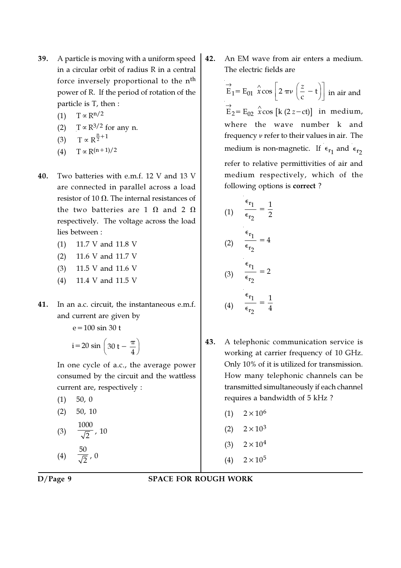- 39. A particle is moving with a uniform speed in a circular orbit of radius R in a central force inversely proportional to the  $n<sup>th</sup>$ power of R. If the period of rotation of the particle is T, then :
	- (1) T ∝ R<sup>n/2</sup>
	- (2) T  $\propto$  R<sup>3/2</sup> for any n.

(3) 
$$
T \propto R^{\frac{n}{2}+1}
$$

- (4)  $T \propto R^{(n+1)/2}$
- 40. Two batteries with e.m.f. 12 V and 13 V are connected in parallel across a load resistor of 10  $\Omega$ . The internal resistances of the two batteries are 1  $\Omega$  and 2  $\Omega$ respectively. The voltage across the load lies between :
	- (1) 11.7 V and 11.8 V
	- (2) 11.6 V and 11.7 V
	- (3) 11.5 V and 11.6 V
	- (4) 11.4 V and 11.5 V
- 41. In an a.c. circuit, the instantaneous e.m.f. and current are given by

$$
e = 100 \sin 30 t
$$

$$
i = 20 \sin \left(30 t - \frac{\pi}{4}\right)
$$

In one cycle of a.c., the average power consumed by the circuit and the wattless current are, respectively :

$$
(1) \quad 50, 0
$$

$$
(2) \quad 50, 10
$$

(3) 
$$
\frac{1000}{\sqrt{2}}
$$
, 10  
(4)  $\frac{50}{\sqrt{2}}$  0

$$
(4) \quad \overline{\sqrt{2}} \, , \, 0
$$

42. An EM wave from air enters a medium. The electric fields are

> $\mathbf{E}_1 = \mathbf{E}_{01} \left| \hat{\mathbf{x}} \cos \right| 2 \pi \nu \left( \frac{2}{c} - \mathbf{t} \right)$  $\vec{E}_1 = E_{01} \hat{x} \cos \left[ 2 \pi \nu \left( \frac{z}{c} - t \right) \right]$  in air and  $\overrightarrow{E}_2 = E_{02} \hat{x} \cos[k(2z-ct)]$  in medium, where the wave number k and frequency ν refer to their values in air. The medium is non-magnetic. If  $\epsilon_{r_1}$  and  $\epsilon_{r_2}$ refer to relative permittivities of air and medium respectively, which of the following options is correct ?

(1) 
$$
\frac{\epsilon_{r_1}}{\epsilon_{r_2}} = \frac{1}{2}
$$
  
(2) 
$$
\frac{\epsilon_{r_1}}{\epsilon_{r_2}} = 4
$$
  
(3) 
$$
\frac{\epsilon_{r_1}}{\epsilon_{r_2}} = 2
$$
  
(4) 
$$
\frac{\epsilon_{r_1}}{\epsilon_{r_2}} = \frac{1}{4}
$$

- 43. A telephonic communication service is working at carrier frequency of 10 GHz. Only 10% of it is utilized for transmission. How many telephonic channels can be transmitted simultaneously if each channel requires a bandwidth of 5 kHz ?
	- $(1)$  2×10<sup>6</sup>
	- $(2)$  2×10<sup>3</sup>
	- (3)  $2 \times 10^4$
	- (4)  $2 \times 10^5$

D/Page 9 SPACE FOR ROUGH WORK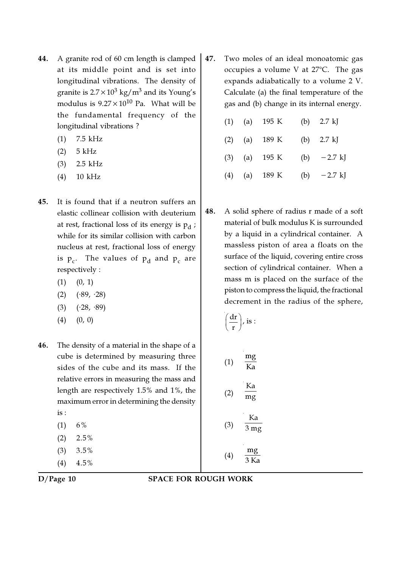- 44. A granite rod of 60 cm length is clamped at its middle point and is set into longitudinal vibrations. The density of granite is 2.7 $\times 10^3$  kg/m $^3$  and its Young's modulus is  $9.27 \times 10^{10}$  Pa. What will be the fundamental frequency of the longitudinal vibrations ?
	- (1) 7.5 kHz
	- (2) 5 kHz
	- (3) 2.5 kHz
	- (4) 10 kHz
- 45. It is found that if a neutron suffers an elastic collinear collision with deuterium at rest, fractional loss of its energy is  $\bm{{\mathsf{p}}}_{\text{d}}$  ; while for its similar collision with carbon nucleus at rest, fractional loss of energy is  $p_c$ . The values of  $p_d$  and  $p_c$  are respectively :
	- $(1)$   $(0, 1)$
	- $(2)$   $(*89, *28)$
	- $(3)$   $(·28, ·89)$
	- $(4)$   $(0, 0)$
- 46. The density of a material in the shape of a cube is determined by measuring three sides of the cube and its mass. If the relative errors in measuring the mass and length are respectively 1.5% and 1%, the maximum error in determining the density is :
	- $(1)$  6%
	- $(2)$  2.5%
	- (3) 3.5%
	- $(4)$  4.5%

- 47. Two moles of an ideal monoatomic gas occupies a volume V at  $27^{\circ}$ C. The gas expands adiabatically to a volume 2 V. Calculate (a) the final temperature of the gas and (b) change in its internal energy.
	- (1) (a) 195 K (b) 2.7 kJ (2) (a) 189 K (b) 2.7 kJ (3) (a)  $195 \text{ K}$  (b)  $-2.7 \text{ kJ}$ (4) (a)  $189 \text{ K}$  (b)  $-2.7 \text{ kJ}$
- 48. A solid sphere of radius r made of a soft material of bulk modulus K is surrounded by a liquid in a cylindrical container. A massless piston of area a floats on the surface of the liquid, covering entire cross section of cylindrical container. When a mass m is placed on the surface of the piston to compress the liquid, the fractional decrement in the radius of the sphere,

$$
\left(\frac{\mathrm{d}r}{r}\right), \text{ is :}
$$

(1) 
$$
\frac{mg}{Ka}
$$
  
\n(2)  $\frac{Ka}{mg}$   
\n(3)  $\frac{Ka}{3 mg}$   
\n(4)  $\frac{mg}{3 Ka}$ 

D/Page 10 SPACE FOR ROUGH WORK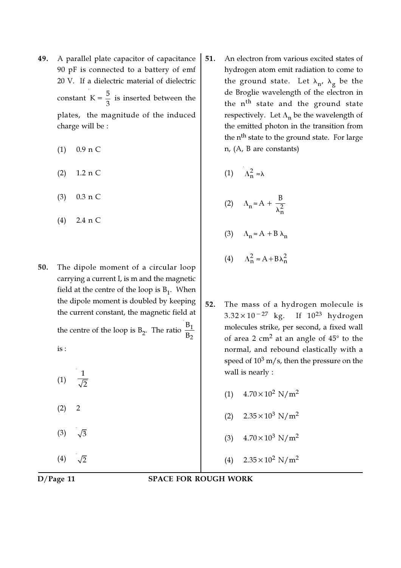- 49. A parallel plate capacitor of capacitance 90 pF is connected to a battery of emf 20 V. If a dielectric material of dielectric constant  $K = \frac{5}{3}$  $=\frac{3}{3}$  is inserted between the plates, the magnitude of the induced charge will be :
	- (1) 0.9 n C
	- (2) 1.2 n C
	- (3) 0.3 n C
	- (4) 2.4 n C
- 50. The dipole moment of a circular loop carrying a current I, is m and the magnetic field at the centre of the loop is  $B_1$ . When the dipole moment is doubled by keeping the current constant, the magnetic field at

the centre of the loop is B<sub>2</sub>. The ratio  $\frac{B_1}{B_2}$ B B is :

(1) 1  $\overline{2}$  $(2) 2$  $(3) \sqrt{3}$ (4)  $\sqrt{2}$ 

- 51. An electron from various excited states of hydrogen atom emit radiation to come to the ground state. Let  $\lambda_{\bf n'}^{\phantom{\dag}}$   $\lambda_{\bf g}^{\phantom{\dag}}$  be the de Broglie wavelength of the electron in the n<sup>th</sup> state and the ground state respectively. Let  $\Lambda_{\bf n}$  be the wavelength of the emitted photon in the transition from the n<sup>th</sup> state to the ground state. For large n, (A, B are constants)
	- (1)  $\Lambda_n^2 \approx \lambda$ (2)  $\Lambda_n \approx A + \frac{B}{\lambda_n^2}$ B λ (3)  $\Lambda_n \approx A + B \lambda_n$
	- (4)  $\Lambda_n^2 \approx A + B \lambda_n^2$
- 52. The mass of a hydrogen molecule is  $3.32 \times 10^{-27}$  kg. If  $10^{23}$  hydrogen molecules strike, per second, a fixed wall of area 2 cm $^2$  at an angle of  $45^\circ$  to the normal, and rebound elastically with a speed of  $10^3$  m/s, then the pressure on the wall is nearly :
	- (1)  $4.70 \times 10^2$  N/m<sup>2</sup>
	- (2)  $2.35 \times 10^3$  N/m<sup>2</sup>
	- (3)  $4.70 \times 10^3$  N/m<sup>2</sup>
	- (4)  $2.35 \times 10^2$  N/m<sup>2</sup>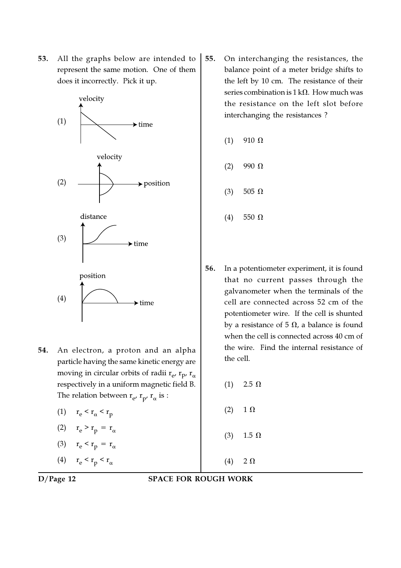53. All the graphs below are intended to represent the same motion. One of them does it incorrectly. Pick it up.



- 54. An electron, a proton and an alpha particle having the same kinetic energy are moving in circular orbits of radii  $\rm r_{e^\prime}$   $\rm r_{p_\prime}$   $\rm r_{\alpha}$ respectively in a uniform magnetic field B. The relation between  $\rm r_{e^\prime}$   $\rm r_{p^\prime}$   $\rm r_\alpha$  is :
	- (1)  $r_e < r_\alpha < r_p$
	- (2)  $r_e > r_p = r_\alpha$
	- (3)  $r_e < r_p = r_\alpha$
	- (4)  $r_e < r_p < r_\alpha$

55. On interchanging the resistances, the balance point of a meter bridge shifts to the left by 10 cm. The resistance of their series combination is  $1 \text{ k}\Omega$ . How much was the resistance on the left slot before interchanging the resistances ?

$$
(1) \quad 910 \Omega
$$

- (2) 990  $\Omega$
- (3) 505  $\Omega$
- (4) 550 Ω
- 56. In a potentiometer experiment, it is found that no current passes through the galvanometer when the terminals of the cell are connected across 52 cm of the potentiometer wire. If the cell is shunted by a resistance of 5  $\Omega$ , a balance is found when the cell is connected across 40 cm of the wire. Find the internal resistance of the cell.
	- $(1)$  2.5 Ω  $(2)$  1  $\Omega$ (3)  $1.5 Ω$ (4)  $2 \Omega$

D/Page 12 SPACE FOR ROUGH WORK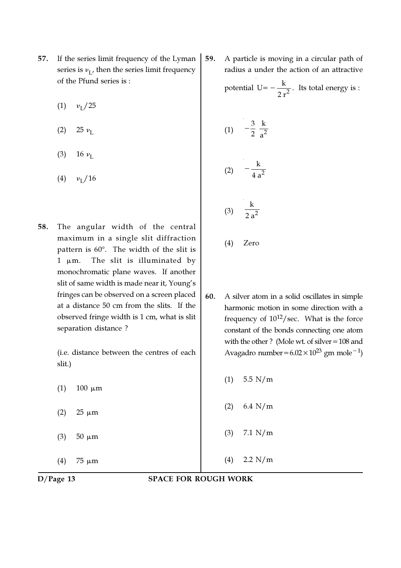- 57. If the series limit frequency of the Lyman series is  $v_{\rm L'}$  then the series limit frequency of the Pfund series is :
	- $(1)$  $\nu_{\rm I}$  / 25
	- (2) 25  $\nu_{\rm L}$
	- (3) 16  $\nu_{\rm L}$
	- $(4)$  $\nu_{\rm I}$  / 16
- 58. The angular width of the central maximum in a single slit diffraction pattern is  $60^\circ$ . The width of the slit is  $1 \mu m$ . The slit is illuminated by monochromatic plane waves. If another slit of same width is made near it, Young's fringes can be observed on a screen placed at a distance 50 cm from the slits. If the observed fringe width is 1 cm, what is slit separation distance ?

(i.e. distance between the centres of each slit.)

 $(1)$  100  $\mu$ m

- (2)  $25 \mu m$
- (3)  $50 \mu m$

(4) 75  $\mu$ m

59. A particle is moving in a circular path of radius a under the action of an attractive potential U=  $-\frac{k}{2}$ 2 r  $I=-\frac{K}{r^2}$ . Its total energy is :

(1) 
$$
-\frac{3}{2} \frac{k}{a^2}
$$
  
\n(2)  $-\frac{k}{4 a^2}$   
\n(3)  $\frac{k}{2 a^2}$ 

- (4) Zero
- 60. A silver atom in a solid oscillates in simple harmonic motion in some direction with a frequency of  $10^{12}/\text{sec}$ . What is the force constant of the bonds connecting one atom with the other ? (Mole wt. of silver=108 and Avagadro number=6.02×10<sup>23</sup> gm mole<sup>-1</sup>)
	- $(1)$  5.5 N/m
	- (2) 6.4 N/m
	- (3) 7.1 N/m
	- (4) 2.2 N/m

D/Page 13 SPACE FOR ROUGH WORK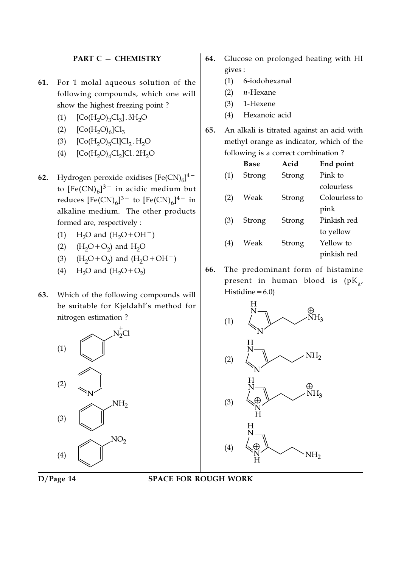#### PART C — CHEMISTRY

- 61. For 1 molal aqueous solution of the following compounds, which one will show the highest freezing point ?
	- (1)  $[Co(H_2O)_3Cl_3]$ . 3H<sub>2</sub>O
	- (2)  $[Co(H<sub>2</sub>O)<sub>6</sub>]Cl<sub>3</sub>$
	- (3)  $[Co(H_2O)_5Cl]Cl_2.H_2O$
	- (4)  $[Co(H_2O)_4Cl_2]Cl. 2H_2O$
- **62.** Hydrogen peroxide oxidises  $[Fe(CN)_6]^{4-}$ to  $\mathrm{[Fe(CN)}_{6}]^{3-}$  in acidic medium but reduces  $[{\rm Fe(CN)}_6]^{3-}$  to  $[{\rm Fe(CN)}_6]^{4-}$  in alkaline medium. The other products formed are, respectively :
	- (1) H<sub>2</sub>O and  $(H_2O+OH^-)$
	- (2)  $(H_2O + O_2)$  and  $H_2O$
	- (3)  $(H_2O + O_2)$  and  $(H_2O + OH^-)$
	- (4)  $H_2O$  and  $(H_2O + O_2)$
- 63. Which of the following compounds will be suitable for Kjeldahl's method for nitrogen estimation ?



- 64. Glucose on prolonged heating with HI gives :
	- (1) 6-iodohexanal
	- $(2)$  *n*-Hexane
	- (3) 1-Hexene
	- (4) Hexanoic acid
- 65. An alkali is titrated against an acid with methyl orange as indicator, which of the following is a correct combination ?

|     | Base   | Acid   | End point     |
|-----|--------|--------|---------------|
| (1) | Strong | Strong | Pink to       |
|     |        |        | colourless    |
| (2) | Weak   | Strong | Colourless to |
|     |        |        | pink          |
| (3) | Strong | Strong | Pinkish red   |
|     |        |        | to yellow     |
| (4) | Weak   | Strong | Yellow to     |
|     |        |        | pinkish red   |
|     |        |        |               |

66. The predominant form of histamine present in human blood is (pK<sub>a</sub>, Histidine $=6.0$ )



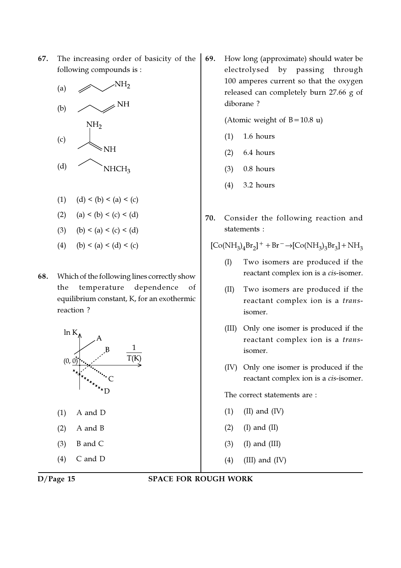67. The increasing order of basicity of the following compounds is :



- (1)  $(d) < (b) < (a) < (c)$
- (2) (a) < (b) < (c) < (d)
- (3) (b) < (a) < (c) < (d)
- (4) (b) < (a) < (d) < (c)
- 68. Which of the following lines correctly show the temperature dependence of equilibrium constant, K, for an exothermic reaction ?



(1) A and D

- (2) A and B
- $(3)$  B and C
- (4) C and D
- 

69. How long (approximate) should water be electrolysed by passing through 100 amperes current so that the oxygen released can completely burn 27.66 g of diborane ?

(Atomic weight of  $B=10.8$  u)

- (1) 1.6 hours
- (2) 6.4 hours
- (3) 0.8 hours
- (4) 3.2 hours
- 70. Consider the following reaction and statements :

 $[Co(NH_3)_4Br_2]^{+} + Br^{-} \rightarrow [Co(NH_3)_3Br_3] + NH_3$ 

- (I) Two isomers are produced if the reactant complex ion is a cis-isomer.
- (II) Two isomers are produced if the reactant complex ion is a transisomer.
- (III) Only one isomer is produced if the reactant complex ion is a transisomer.
- (IV) Only one isomer is produced if the reactant complex ion is a cis-isomer.

The correct statements are :

- $(1)$   $(II)$  and  $(IV)$
- $(2)$  (I) and (II)
- (3) (I) and (III)
- (4) (III) and (IV)

#### D/Page 15 SPACE FOR ROUGH WORK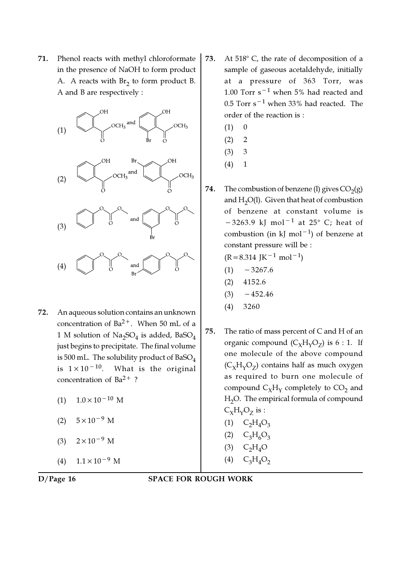71. Phenol reacts with methyl chloroformate in the presence of NaOH to form product A. A reacts with  $Br_2$  to form product B. A and B are respectively :



- 72. An aqueous solution contains an unknown concentration of  $Ba^{2+}$ . When 50 mL of a  $1$  M solution of  $\operatorname{Na_2SO_4}$  is added, BaSO $_4$ just begins to precipitate. The final volume is 500 mL. The solubility product of  $BaSO<sub>4</sub>$ is  $1 \times 10^{-10}$ . What is the original concentration of  $Ba^{2+}$ ?
	- $(1)$  1.0×10<sup>-10</sup> M
	- $(2)$  5×10<sup>-9</sup> M
	- $(3)$  2×10<sup>-9</sup> M

 $(4)$  1.1×10<sup>-9</sup> M

- 73. At  $518^{\circ}$  C, the rate of decomposition of a sample of gaseous acetaldehyde, initially at a pressure of 363 Torr, was 1.00 Torr s−<sup>1</sup> when 5% had reacted and 0.5 Torr s−<sup>1</sup> when 33% had reacted. The order of the reaction is :
	- $(1) 0$
	- $(2) 2$
	- (3) 3
	- $(4) 1$
- **74.** The combustion of benzene (1) gives  $CO<sub>2</sub>(g)$ and  $H_2O(1)$ . Given that heat of combustion of benzene at constant volume is  $-3263.9$  kJ mol<sup>-1</sup> at 25° C; heat of combustion (in kJ mol−<sup>1</sup> ) of benzene at constant pressure will be :

 $(R=8.314 \text{ J} \text{K}^{-1} \text{ mol}^{-1})$ 

- $(1)$  −3267.6
- (2) 4152.6
- $(3)$  −452.46
- (4) 3260
- 75. The ratio of mass percent of C and H of an organic compound  $(C_{\chi}H_{\gamma}O_{Z})$  is 6 : 1. If one molecule of the above compound  $(\mathsf{C}_\chi\mathsf{H}_\chi\mathsf{O}_Z)$  contains half as much oxygen as required to burn one molecule of compound  $C_{\chi}H_{\gamma}$  completely to  $CO_{2}$  and H<sub>2</sub>O. The empirical formula of compound  $C_{\chi}H_{\gamma}O_{Z}$  is :  $(1)$   $C_2H_4O_3$ 
	- $(C_3H_6O_3)$
	- $(A)$  C<sub>2</sub>H<sub>4</sub>O
	- $(4)$  C<sub>3</sub>H<sub>4</sub>O<sub>2</sub>

D/Page 16 SPACE FOR ROUGH WORK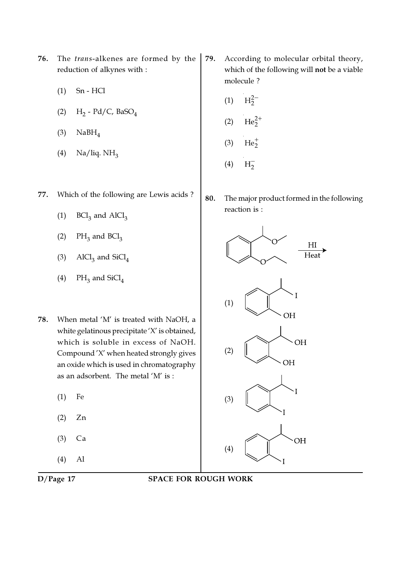- 76. The trans-alkenes are formed by the reduction of alkynes with :
	- (1) Sn HCl
	- (2)  $H_2$  Pd/C, BaSO<sub>4</sub>
	- $(3)$  NaBH<sub>4</sub>
	- (4) Na/liq.  $NH<sub>3</sub>$
- 77. Which of the following are Lewis acids ?
	- (1)  $BCl<sub>3</sub>$  and  $AICl<sub>3</sub>$
	- (2)  $PH_3$  and  $BCl_3$
	- (3)  $\text{AICl}_3$  and  $\text{SiCl}_4$
	- (4)  $PH_3$  and  $SiCl_4$
- 78. When metal 'M' is treated with NaOH, a white gelatinous precipitate 'X' is obtained, which is soluble in excess of NaOH. Compound 'X' when heated strongly gives an oxide which is used in chromatography as an adsorbent. The metal 'M' is :
	- (1) Fe
	- (2) Zn
	- (3) Ca
	- (4) Al
- 

### D/Page 17 SPACE FOR ROUGH WORK

- 79. According to molecular orbital theory, which of the following will not be a viable molecule ?
	- $(1)$   $H_2^{2-}$
	- (2)  $\text{He}_2^{2+}$
	- (3)  $He_2^+$
	- $(4)$  $H_2^-$
- 80. The major product formed in the following reaction is :

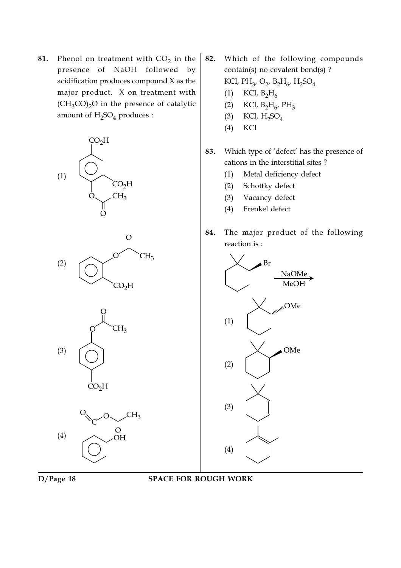**81.** Phenol on treatment with  $CO_2$  in the presence of NaOH followed by acidification produces compound X as the major product. X on treatment with  $(CH_3CO)_2O$  in the presence of catalytic amount of  $\rm H_2SO_4$  produces :



- 82. Which of the following compounds contain(s) no covalent bond(s) ? KCl, PH<sub>3</sub>, O<sub>2</sub>, B<sub>2</sub>H<sub>6</sub>, H<sub>2</sub>SO<sub>4</sub> (1) KCl,  $B_2H_6$ 
	- (2) KCl,  $B_2H_6$ ,  $PH_3$
	- (3) KCl,  $H_2SO_4$
	- (4) KCl
- 83. Which type of 'defect' has the presence of cations in the interstitial sites ?
	- (1) Metal deficiency defect
	- (2) Schottky defect
	- (3) Vacancy defect
	- (4) Frenkel defect
- 84. The major product of the following reaction is :

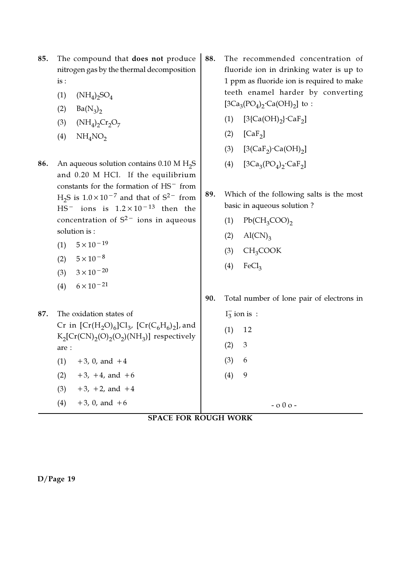- 85. The compound that does not produce nitrogen gas by the thermal decomposition is :
	- (1)  $(NH_4)_2SO_4$
	- (2)  $Ba(N_3)_2$
	- (3)  $(NH_4)_2Cr_2O_7$
	- $(4)$  NH<sub>4</sub>NO<sub>2</sub>
- **86.** An aqueous solution contains  $0.10 \text{ M H}_2\text{S}$ and 0.20 M HCl. If the equilibrium constants for the formation of HS− from  $H_2S$  is  $1.0 \times 10^{-7}$  and that of  $S^2$ <sup>-</sup> from HS− ions is 1.2×10−13 then the concentration of  $S^{2-}$  ions in aqueous solution is :
	- $(1)$  5×10<sup>-19</sup>
	- $(2)$  5×10<sup>-8</sup>
	- (3)  $3 \times 10^{-20}$
	- (4)  $6 \times 10^{-21}$
- 88. The recommended concentration of fluoride ion in drinking water is up to 1 ppm as fluoride ion is required to make teeth enamel harder by converting [3Ca<sub>3</sub>(PO<sub>4</sub>)<sub>2</sub>·Ca(OH)<sub>2</sub>] to:
	- (1)  $[3{Ca(OH)}_2]{CRaF}_2]$
	- (2)  $[CaF_2]$
	- (3)  $[3(CaF_2) \cdot Ca(OH)_2]$
	- (4)  $[3Ca_3(PO_4)_2 \text{·}Ca_5]$
- 89. Which of the following salts is the most basic in aqueous solution ?
	- $Pb(CH_3COO)$ <sub>2</sub>
	- $(2)$  Al(CN)<sub>3</sub>
	- $(H_3COOK)$
	- $(4)$  FeCl<sub>3</sub>

(1) 12

 $(2) 3$ 

(3) 6

 $(4)$  9

90. Total number of lone pair of electrons in  $I_3^-$  ion is:

- 87. The oxidation states of Cr in  $[\text{Cr}(\text{H}_2\text{O})_6] \text{Cl}_3$ ,  $[\text{Cr}(\text{C}_6\text{H}_6)_2]$ , and  $K_2[\mathrm{Cr(CN)}_2(\mathrm{O}_2(\mathrm{NH}_3)]$  respectively are :  $(1)$  +3, 0, and +4
	- $(2)$  +3, +4, and +6
	- $(3)$  +3, +2, and +4  $(4) +3$ , 0, and  $+6$
- $-$  0 0  $+$
- SPACE FOR ROUGH WORK